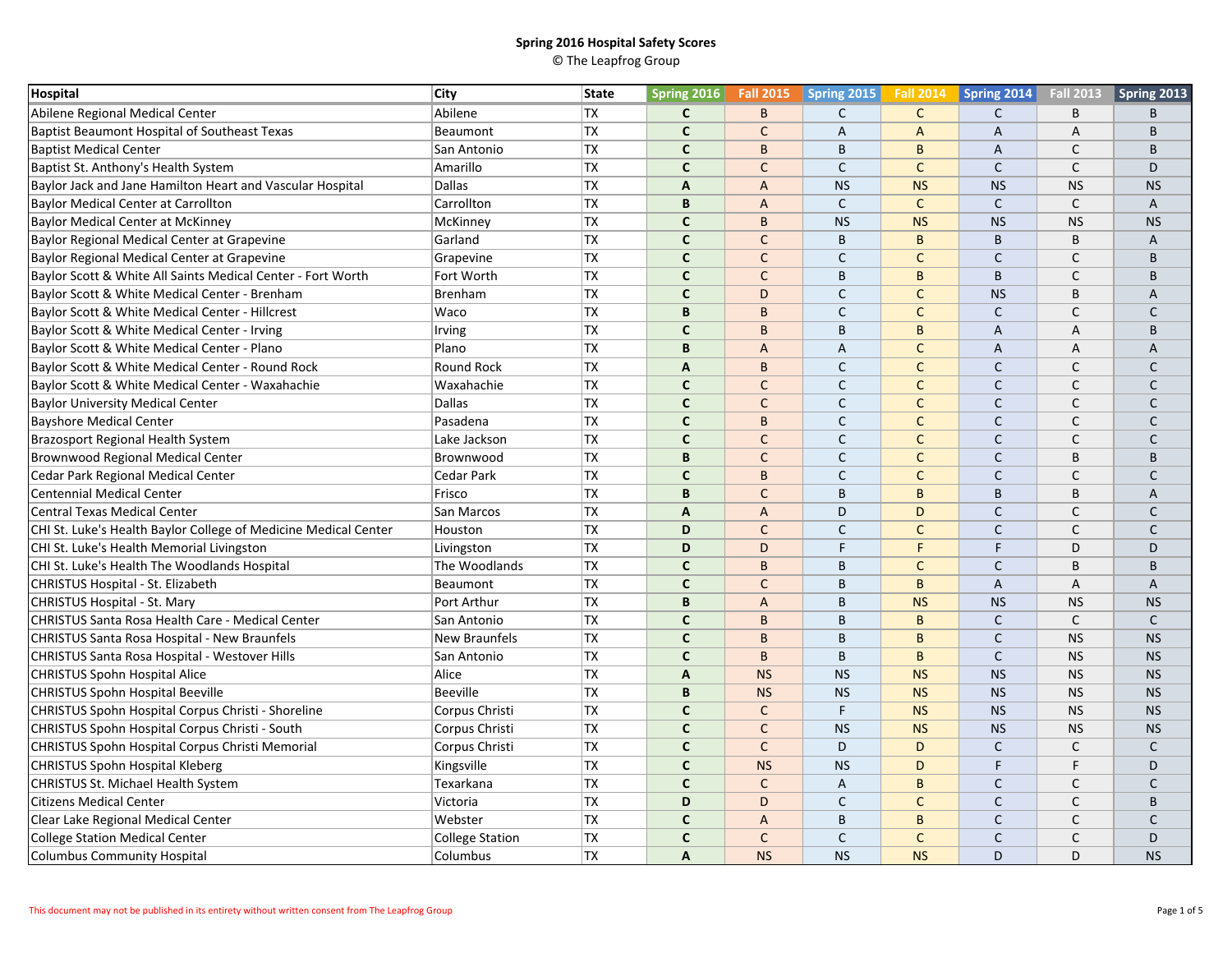| <b>Hospital</b>                                                 | City                   | <b>State</b> | <b>Spring 2016</b> | <b>Fall 2015</b> | Spring 2015  | <b>Fall 2014</b> | Spring 2014    | <b>Fall 2013</b> | Spring 2013  |
|-----------------------------------------------------------------|------------------------|--------------|--------------------|------------------|--------------|------------------|----------------|------------------|--------------|
| Abilene Regional Medical Center                                 | Abilene                | <b>TX</b>    | $\mathsf{C}$       | B                | $\mathsf{C}$ | $\mathsf{C}$     | $\mathsf{C}$   | B                | B            |
| Baptist Beaumont Hospital of Southeast Texas                    | Beaumont               | TX           | $\mathsf{C}$       | $\mathsf{C}$     | A            | A                | A              | Α                | B            |
| <b>Baptist Medical Center</b>                                   | San Antonio            | <b>TX</b>    | $\mathbf{C}$       | B                | B            | B                | $\overline{A}$ | $\mathsf{C}$     | <sub>R</sub> |
| Baptist St. Anthony's Health System                             | Amarillo               | <b>TX</b>    | $\mathsf{C}$       | $\mathsf{C}$     | $\mathsf{C}$ | $\mathsf C$      | $\mathsf{C}$   | $\mathsf C$      | D            |
| Baylor Jack and Jane Hamilton Heart and Vascular Hospital       | Dallas                 | <b>TX</b>    | A                  | $\overline{A}$   | <b>NS</b>    | <b>NS</b>        | <b>NS</b>      | <b>NS</b>        | <b>NS</b>    |
| <b>Baylor Medical Center at Carrollton</b>                      | Carrollton             | <b>TX</b>    | B                  | $\overline{A}$   | $\mathsf C$  | $\mathsf C$      | $\mathsf{C}$   | $\mathsf{C}$     | A            |
| <b>Baylor Medical Center at McKinney</b>                        | McKinney               | TX           | $\mathbf{C}$       | B                | <b>NS</b>    | <b>NS</b>        | <b>NS</b>      | <b>NS</b>        | <b>NS</b>    |
| Baylor Regional Medical Center at Grapevine                     | Garland                | <b>TX</b>    | $\mathbf c$        | $\mathsf{C}$     | $\sf B$      | B                | B              | B                | A            |
| Baylor Regional Medical Center at Grapevine                     | Grapevine              | <b>TX</b>    | $\mathbf{C}$       | $\mathsf{C}$     | $\mathsf{C}$ | $\mathsf{C}$     | $\mathsf{C}$   | $\mathsf{C}$     | B            |
| Baylor Scott & White All Saints Medical Center - Fort Worth     | Fort Worth             | <b>TX</b>    | $\mathbf{C}$       | $\mathsf{C}$     | B            | B                | B              | C                | B            |
| Baylor Scott & White Medical Center - Brenham                   | <b>Brenham</b>         | TX           | $\mathsf{C}$       | D                | $\mathsf{C}$ | $\mathsf{C}$     | <b>NS</b>      | B                | A            |
| Baylor Scott & White Medical Center - Hillcrest                 | Waco                   | TX           | B                  | B                | $\mathsf{C}$ | $\mathsf{C}$     | $\mathsf{C}$   | $\mathsf{C}$     | C            |
| Baylor Scott & White Medical Center - Irving                    | Irving                 | <b>TX</b>    | $\mathsf{C}$       | B                | B            | B                | $\overline{A}$ | A                | B            |
| Baylor Scott & White Medical Center - Plano                     | Plano                  | <b>TX</b>    | B                  | $\overline{A}$   | A            | $\mathsf{C}$     | A              | A                | A            |
| Baylor Scott & White Medical Center - Round Rock                | Round Rock             | <b>TX</b>    | A                  | B                | $\mathsf{C}$ | $\mathsf{C}$     | $\mathsf C$    | $\mathsf{C}$     | $\mathsf{C}$ |
| Baylor Scott & White Medical Center - Waxahachie                | Waxahachie             | <b>TX</b>    | $\mathbf{C}$       | $\mathsf{C}$     | $\mathsf{C}$ | $\mathsf{C}$     | $\mathsf{C}$   | $\mathsf{C}$     | C            |
| <b>Baylor University Medical Center</b>                         | Dallas                 | <b>TX</b>    | $\mathsf{C}$       | $\mathsf{C}$     | $\mathsf{C}$ | $\mathsf{C}$     | $\mathsf{C}$   | $\mathsf{C}$     | C            |
| <b>Bayshore Medical Center</b>                                  | Pasadena               | TX           | $\mathbf{C}$       | B                | $\mathsf{C}$ | $\mathsf{C}$     | $\mathsf{C}$   | $\mathsf{C}$     | C            |
| Brazosport Regional Health System                               | Lake Jackson           | <b>TX</b>    | $\mathbf{C}$       | $\mathsf{C}$     | $\mathsf C$  | $\mathsf{C}$     | $\mathsf C$    | $\mathsf{C}$     | $\mathsf{C}$ |
| <b>Brownwood Regional Medical Center</b>                        | Brownwood              | <b>TX</b>    | B                  | $\mathsf{C}$     | $\mathsf{C}$ | $\mathsf{C}$     | $\mathsf{C}$   | B                | <sub>R</sub> |
| Cedar Park Regional Medical Center                              | Cedar Park             | TX           | $\mathsf{C}$       | B                | $\mathsf{C}$ | $\mathsf{C}$     | $\mathsf{C}$   | C                | C            |
| <b>Centennial Medical Center</b>                                | Frisco                 | TX           | B                  | $\mathsf{C}$     | $\mathsf B$  | B                | B              | B                | A            |
| <b>Central Texas Medical Center</b>                             | San Marcos             | TX           | $\overline{A}$     | $\overline{A}$   | D            | D                | $\mathsf{C}$   | $\mathsf{C}$     | $\mathsf{C}$ |
| CHI St. Luke's Health Baylor College of Medicine Medical Center | Houston                | <b>TX</b>    | D                  | $\mathsf{C}$     | $\mathsf{C}$ | $\mathsf{C}$     | $\mathsf{C}$   | $\mathsf{C}$     | $\mathsf{C}$ |
| CHI St. Luke's Health Memorial Livingston                       | Livingston             | <b>TX</b>    | D                  | D                | F            | F                | E              | D                | D.           |
| CHI St. Luke's Health The Woodlands Hospital                    | The Woodlands          | <b>TX</b>    | $\mathbf{C}$       | B                | B            | $\mathsf{C}$     | $\mathsf{C}$   | B                | B            |
| CHRISTUS Hospital - St. Elizabeth                               | <b>Beaumont</b>        | <b>TX</b>    | $\mathbf{C}$       | $\mathsf{C}$     | B            | B                | $\overline{A}$ | A                | A            |
| CHRISTUS Hospital - St. Mary                                    | Port Arthur            | TX           | B                  | $\overline{A}$   | B            | <b>NS</b>        | <b>NS</b>      | <b>NS</b>        | <b>NS</b>    |
| <b>CHRISTUS Santa Rosa Health Care - Medical Center</b>         | San Antonio            | TX           | $\mathbf c$        | B                | B            | B                | $\mathsf{C}$   | C                | $\mathsf{C}$ |
| CHRISTUS Santa Rosa Hospital - New Braunfels                    | <b>New Braunfels</b>   | <b>TX</b>    | $\mathsf{C}$       | B                | B            | B                | $\mathsf{C}$   | <b>NS</b>        | <b>NS</b>    |
| CHRISTUS Santa Rosa Hospital - Westover Hills                   | San Antonio            | <b>TX</b>    | $\mathbf{C}$       | B                | B            | $\overline{B}$   | $\mathsf{C}$   | <b>NS</b>        | <b>NS</b>    |
| <b>CHRISTUS Spohn Hospital Alice</b>                            | Alice                  | TX           | A                  | <b>NS</b>        | <b>NS</b>    | <b>NS</b>        | <b>NS</b>      | <b>NS</b>        | <b>NS</b>    |
| <b>CHRISTUS Spohn Hospital Beeville</b>                         | <b>Beeville</b>        | TX           | B                  | <b>NS</b>        | <b>NS</b>    | <b>NS</b>        | <b>NS</b>      | <b>NS</b>        | <b>NS</b>    |
| CHRISTUS Spohn Hospital Corpus Christi - Shoreline              | Corpus Christi         | <b>TX</b>    | $\mathsf{C}$       | $\mathsf{C}$     | F            | <b>NS</b>        | <b>NS</b>      | <b>NS</b>        | <b>NS</b>    |
| CHRISTUS Spohn Hospital Corpus Christi - South                  | Corpus Christi         | <b>TX</b>    | $\mathbf{C}$       | $\mathsf{C}$     | <b>NS</b>    | <b>NS</b>        | <b>NS</b>      | <b>NS</b>        | <b>NS</b>    |
| CHRISTUS Spohn Hospital Corpus Christi Memorial                 | Corpus Christi         | <b>TX</b>    | $\mathsf{C}$       | $\mathsf C$      | D            | D                | $\mathsf{C}$   | $\mathsf C$      | C            |
| <b>CHRISTUS Spohn Hospital Kleberg</b>                          | Kingsville             | <b>TX</b>    | $\mathbf{C}$       | <b>NS</b>        | <b>NS</b>    | D                | F              | F                | D            |
| CHRISTUS St. Michael Health System                              | Texarkana              | <b>TX</b>    | $\mathbf{C}$       | $\mathsf{C}$     | A            | B                | $\mathsf{C}$   | $\mathsf{C}$     | $\mathsf{C}$ |
| <b>Citizens Medical Center</b>                                  | Victoria               | <b>TX</b>    | D                  | D                | $\mathsf{C}$ | $\mathsf{C}$     | $\mathsf{C}$   | $\mathsf{C}$     | B            |
| Clear Lake Regional Medical Center                              | Webster                | <b>TX</b>    | $\mathbf c$        | $\overline{A}$   | $\mathsf B$  | B                | $\mathsf{C}$   | C                | C            |
| <b>College Station Medical Center</b>                           | <b>College Station</b> | <b>TX</b>    | $\mathsf{C}$       | $\mathsf{C}$     | $\mathsf{C}$ | $\mathsf{C}$     | $\mathsf{C}$   | $\mathsf{C}$     | D            |
| <b>Columbus Community Hospital</b>                              | Columbus               | <b>TX</b>    | A                  | <b>NS</b>        | <b>NS</b>    | <b>NS</b>        | D              | D                | <b>NS</b>    |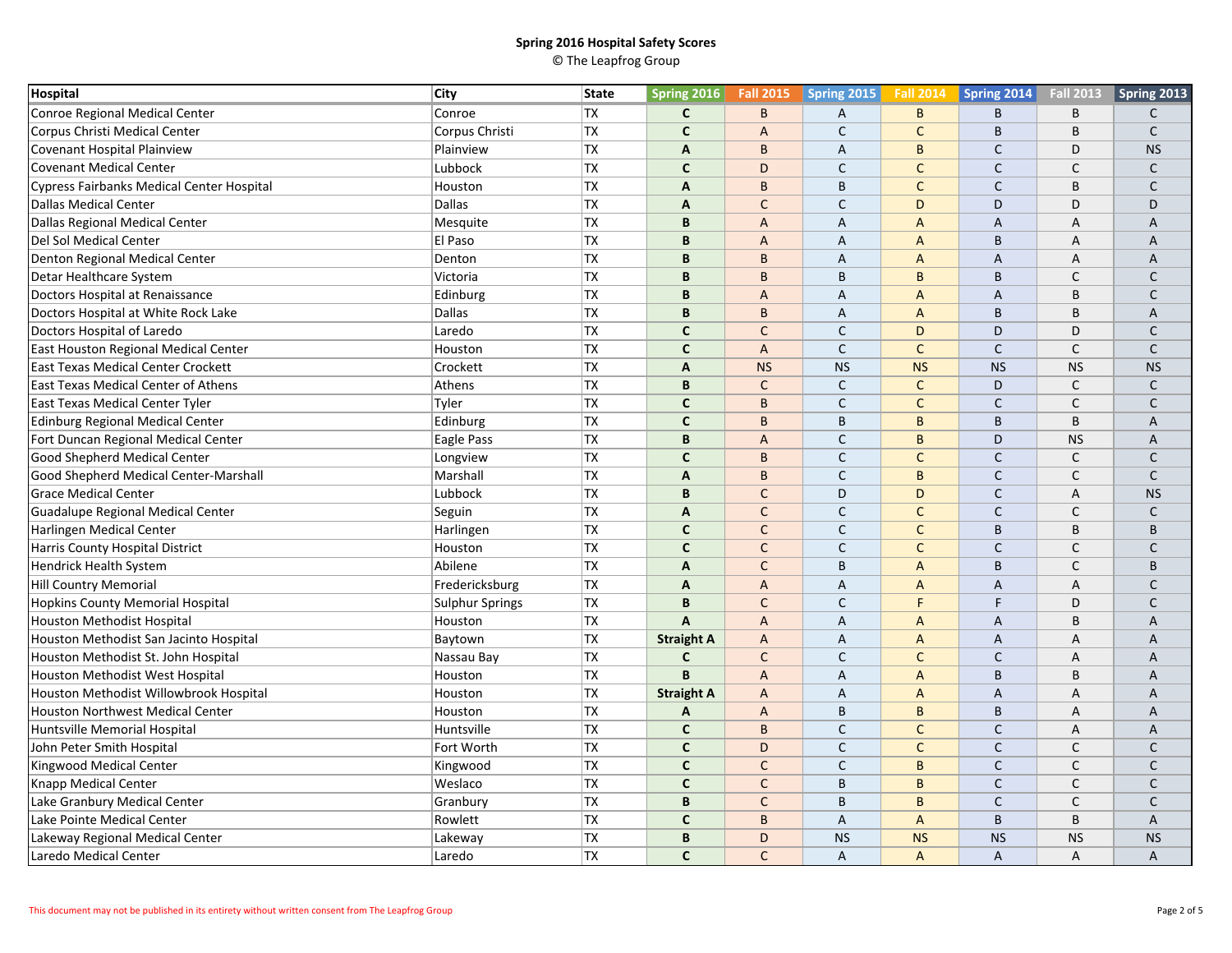| Hospital                                         | City            | <b>State</b> | <b>Spring 2016</b> | <b>Fall 2015</b> | Spring 2015    | <b>Fall 2014</b> | <b>Spring 2014</b> | <b>Fall 2013</b> | Spring 2013  |
|--------------------------------------------------|-----------------|--------------|--------------------|------------------|----------------|------------------|--------------------|------------------|--------------|
| Conroe Regional Medical Center                   | Conroe          | <b>TX</b>    | $\mathsf{C}$       | B                | A              | B                | B                  | B                | C            |
| Corpus Christi Medical Center                    | Corpus Christi  | <b>TX</b>    | $\mathsf{C}$       | $\overline{A}$   | $\mathsf{C}$   | $\mathsf{C}$     | B                  | B                | C            |
| Covenant Hospital Plainview                      | Plainview       | <b>TX</b>    | $\mathsf{A}$       | B                | $\overline{A}$ | B                | $\mathsf{C}$       | D                | <b>NS</b>    |
| <b>Covenant Medical Center</b>                   | Lubbock         | <b>TX</b>    | $\mathsf{C}$       | D                | $\mathsf{C}$   | $\mathsf{C}$     | $\mathsf{C}$       | C                | C            |
| <b>Cypress Fairbanks Medical Center Hospital</b> | Houston         | <b>TX</b>    | $\mathsf{A}$       | B                | B              | $\mathsf{C}$     | $\mathsf{C}$       | B                | $\mathsf{C}$ |
| <b>Dallas Medical Center</b>                     | <b>Dallas</b>   | <b>TX</b>    | $\mathbf{A}$       | $\mathsf{C}$     | $\mathsf{C}$   | D                | D                  | D                | D            |
| Dallas Regional Medical Center                   | Mesquite        | <b>TX</b>    | B                  | $\overline{A}$   | A              | $\overline{A}$   | A                  | А                | A            |
| Del Sol Medical Center                           | El Paso         | <b>TX</b>    | B                  | $\overline{A}$   | $\overline{A}$ | $\overline{A}$   | B                  | А                | A            |
| Denton Regional Medical Center                   | Denton          | <b>TX</b>    | B                  | B                | $\overline{A}$ | $\overline{A}$   | $\overline{A}$     | A                | A            |
| Detar Healthcare System                          | Victoria        | <b>TX</b>    | B                  | B                | B              | B                | B                  | $\mathsf{C}$     | C            |
| Doctors Hospital at Renaissance                  | Edinburg        | TX           | B                  | $\overline{A}$   | A              | A                | A                  | B                | $\mathsf{C}$ |
| Doctors Hospital at White Rock Lake              | <b>Dallas</b>   | <b>TX</b>    | B                  | B                | $\overline{A}$ | $\overline{A}$   | B                  | B                | A            |
| Doctors Hospital of Laredo                       | Laredo          | <b>TX</b>    | $\mathsf{C}$       | $\mathsf{C}$     | $\mathsf{C}$   | D                | D                  | D                | C            |
| East Houston Regional Medical Center             | Houston         | <b>TX</b>    | $\mathbf{C}$       | $\overline{A}$   | $\mathsf{C}$   | $\mathsf{C}$     | $\mathsf{C}$       | $\mathsf{C}$     | C            |
| <b>East Texas Medical Center Crockett</b>        | Crockett        | <b>TX</b>    | $\mathbf{A}$       | <b>NS</b>        | <b>NS</b>      | <b>NS</b>        | <b>NS</b>          | <b>NS</b>        | <b>NS</b>    |
| East Texas Medical Center of Athens              | Athens          | <b>TX</b>    | B                  | $\mathsf{C}$     | $\mathsf{C}$   | $\mathsf{C}$     | D                  | C                | $\mathsf{C}$ |
| <b>East Texas Medical Center Tyler</b>           | Tyler           | <b>TX</b>    | $\mathsf{C}$       | B                | $\mathsf{C}$   | $\mathsf{C}$     | $\mathsf{C}$       | $\mathsf{C}$     | $\mathsf{C}$ |
| Edinburg Regional Medical Center                 | Edinburg        | <b>TX</b>    | $\mathbf{C}$       | B                | $\mathsf B$    | B                | B                  | B                | A            |
| Fort Duncan Regional Medical Center              | Eagle Pass      | <b>TX</b>    | B                  | $\overline{A}$   | $\mathsf C$    | B                | D                  | <b>NS</b>        | A            |
| <b>Good Shepherd Medical Center</b>              | Longview        | <b>TX</b>    | $\mathbf{C}$       | B                | $\mathsf{C}$   | $\mathsf{C}$     | $\mathsf{C}$       | $\mathsf{C}$     | $\mathsf{C}$ |
| Good Shepherd Medical Center-Marshall            | Marshall        | TX           | A                  | B                | $\mathsf{C}$   | B                | $\mathsf{C}$       | $\mathsf{C}$     | $\mathsf{C}$ |
| <b>Grace Medical Center</b>                      | Lubbock         | <b>TX</b>    | B                  | $\mathsf{C}$     | D              | D                | $\mathsf{C}$       | А                | <b>NS</b>    |
| Guadalupe Regional Medical Center                | Seguin          | <b>TX</b>    | A                  | $\mathsf{C}$     | $\mathsf{C}$   | $\mathsf{C}$     | $\mathsf{C}$       | C                | C            |
| Harlingen Medical Center                         | Harlingen       | <b>TX</b>    | $\mathsf{C}$       | $\mathsf{C}$     | $\mathsf{C}$   | $\mathsf{C}$     | B                  | B                | B            |
| Harris County Hospital District                  | Houston         | TX           | $\mathbf{C}$       | $\mathsf{C}$     | $\mathsf{C}$   | $\mathsf{C}$     | $\mathsf{C}$       | $\mathsf{C}$     | $\mathsf{C}$ |
| <b>Hendrick Health System</b>                    | Abilene         | TX           | $\mathbf{A}$       | $\mathsf{C}$     | $\mathsf B$    | $\overline{A}$   | B                  | $\mathsf{C}$     | B            |
| <b>Hill Country Memorial</b>                     | Fredericksburg  | <b>TX</b>    | $\overline{A}$     | $\overline{A}$   | $\overline{A}$ | $\overline{A}$   | $\overline{A}$     | A                | $\mathsf{C}$ |
| Hopkins County Memorial Hospital                 | Sulphur Springs | <b>TX</b>    | B                  | $\mathsf{C}$     | $\mathsf{C}$   | F                | E                  | D                | $\mathsf{C}$ |
| <b>Houston Methodist Hospital</b>                | Houston         | <b>TX</b>    | $\mathsf{A}$       | $\overline{A}$   | A              | $\overline{A}$   | A                  | B                | A            |
| Houston Methodist San Jacinto Hospital           | Baytown         | <b>TX</b>    | <b>Straight A</b>  | $\overline{A}$   | A              | $\overline{A}$   | A                  | A                | A            |
| Houston Methodist St. John Hospital              | Nassau Bay      | <b>TX</b>    | $\mathsf{C}$       | $\mathsf{C}$     | $\mathsf{C}$   | $\mathsf{C}$     | $\mathsf{C}$       | $\overline{A}$   | A            |
| Houston Methodist West Hospital                  | Houston         | TX           | B                  | $\mathsf{A}$     | A              | A                | B                  | B                | A            |
| Houston Methodist Willowbrook Hospital           | Houston         | <b>TX</b>    | <b>Straight A</b>  | $\overline{A}$   | A              | $\overline{A}$   | A                  | A                | A            |
| <b>Houston Northwest Medical Center</b>          | Houston         | <b>TX</b>    | A                  | $\overline{A}$   | $\mathsf B$    | B                | B                  | A                | A            |
| Huntsville Memorial Hospital                     | Huntsville      | <b>TX</b>    | $\mathbf{C}$       | B                | $\mathsf{C}$   | $\mathsf{C}$     | $\mathsf{C}$       | A                | A            |
| John Peter Smith Hospital                        | Fort Worth      | <b>TX</b>    | $\mathsf{C}$       | D                | $\mathsf{C}$   | $\mathsf{C}$     | $\mathsf{C}$       | C                | C            |
| Kingwood Medical Center                          | Kingwood        | <b>TX</b>    | $\mathbf{C}$       | $\mathsf{C}$     | $\mathsf{C}$   | B                | $\mathsf{C}$       | $\mathsf{C}$     | $\mathsf{C}$ |
| <b>Knapp Medical Center</b>                      | Weslaco         | <b>TX</b>    | $\mathsf{C}$       | $\mathsf{C}$     | B              | B                | $\mathsf C$        | $\mathsf{C}$     | $\mathsf{C}$ |
| Lake Granbury Medical Center                     | Granbury        | <b>TX</b>    | B                  | $\mathsf{C}$     | $\mathsf B$    | $\overline{B}$   | $\mathsf{C}$       | $\mathsf{C}$     | $\mathsf{C}$ |
| Lake Pointe Medical Center                       | Rowlett         | <b>TX</b>    | $\mathbf c$        | B                | A              | A                | B                  | B                | A            |
| Lakeway Regional Medical Center                  | Lakeway         | <b>TX</b>    | $\mathbf B$        | D                | <b>NS</b>      | <b>NS</b>        | <b>NS</b>          | <b>NS</b>        | <b>NS</b>    |
| Laredo Medical Center                            | Laredo          | <b>TX</b>    | $\mathsf{C}$       | $\mathsf{C}$     | A              | $\overline{A}$   | A                  | A                | A            |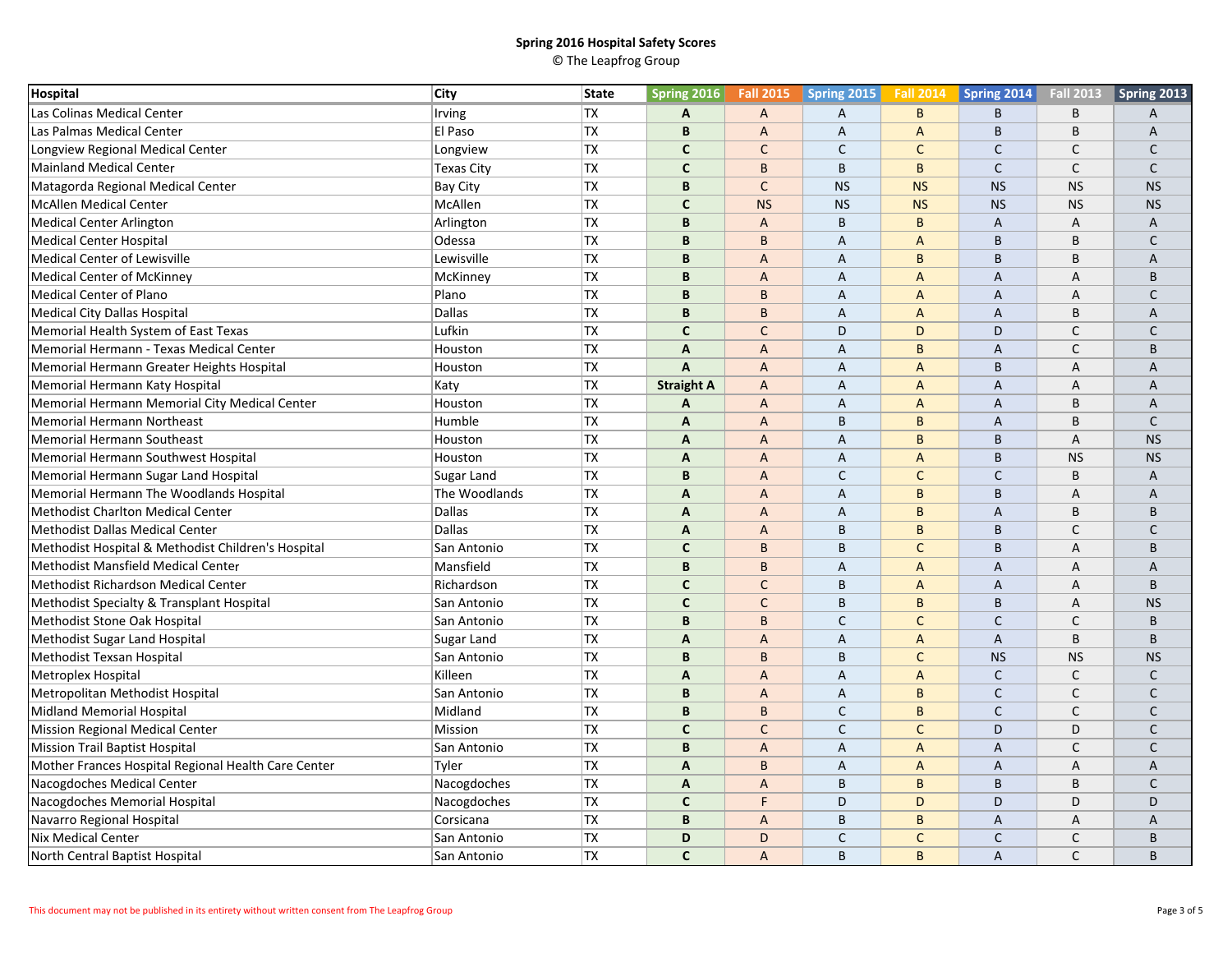| Hospital                                            | <b>City</b>        | <b>State</b> | <b>Spring 2016</b>        | <b>Fall 2015</b> | Spring 2015    | <b>Fall 2014</b> | Spring 2014    | <b>Fall 2013</b> | Spring 2013  |
|-----------------------------------------------------|--------------------|--------------|---------------------------|------------------|----------------|------------------|----------------|------------------|--------------|
| Las Colinas Medical Center                          | Irving             | <b>TX</b>    | A                         | $\mathsf{A}$     | A              | B                | B              | B                | Α            |
| Las Palmas Medical Center                           | El Paso            | <b>TX</b>    | B                         | $\overline{A}$   | A              | $\overline{A}$   | B              | B                | A            |
| Longview Regional Medical Center                    | Longview           | <b>TX</b>    | C                         | $\mathsf{C}$     | $\mathsf{C}$   | $\mathsf{C}$     | $\mathsf{C}$   | $\mathsf{C}$     | $\mathsf{C}$ |
| <b>Mainland Medical Center</b>                      | <b>Texas City</b>  | <b>TX</b>    | $\mathsf{C}$              | $\mathsf{B}$     | $\mathsf B$    | B                | $\mathsf{C}$   | C                | $\mathsf{C}$ |
| Matagorda Regional Medical Center                   | Bay City           | <b>TX</b>    | B                         | $\mathsf{C}$     | <b>NS</b>      | <b>NS</b>        | <b>NS</b>      | <b>NS</b>        | <b>NS</b>    |
| <b>McAllen Medical Center</b>                       | McAllen            | <b>TX</b>    | $\mathbf{C}$              | <b>NS</b>        | <b>NS</b>      | <b>NS</b>        | <b>NS</b>      | <b>NS</b>        | <b>NS</b>    |
| <b>Medical Center Arlington</b>                     | Arlington          | TX           | B                         | $\overline{A}$   | $\mathsf B$    | B                | A              | А                | Α            |
| <b>Medical Center Hospital</b>                      | Odessa             | <b>TX</b>    | B                         | B                | $\overline{A}$ | $\overline{A}$   | B              | B                | C            |
| Medical Center of Lewisville                        | Lewisville         | <b>TX</b>    | B                         | $\overline{A}$   | $\overline{A}$ | B                | B              | B                | A            |
| <b>Medical Center of McKinney</b>                   | McKinney           | <b>TX</b>    | B                         | $\overline{A}$   | A              | A                | A              | А                | <sub>R</sub> |
| Medical Center of Plano                             | Plano              | <b>TX</b>    | B                         | B                | A              | $\overline{A}$   | A              | A                | C            |
| Medical City Dallas Hospital                        | Dallas             | <b>TX</b>    | B                         | B                | $\overline{A}$ | $\overline{A}$   | $\overline{A}$ | B                | A            |
| Memorial Health System of East Texas                | Lufkin             | <b>TX</b>    | $\mathsf{C}$              | $\mathsf{C}$     | D              | D                | D              | $\mathsf{C}$     | $\mathsf{C}$ |
| Memorial Hermann - Texas Medical Center             | Houston            | <b>TX</b>    | A                         | $\overline{A}$   | A              | B                | A              | C                | B            |
| Memorial Hermann Greater Heights Hospital           | Houston            | <b>TX</b>    | $\boldsymbol{\mathsf{A}}$ | $\overline{A}$   | A              | $\overline{A}$   | B              | A                | A            |
| Memorial Hermann Katy Hospital                      | Katy               | <b>TX</b>    | <b>Straight A</b>         | $\overline{A}$   | $\overline{A}$ | $\overline{A}$   | $\overline{A}$ | A                | A            |
| Memorial Hermann Memorial City Medical Center       | Houston            | <b>TX</b>    | A                         | $\mathsf{A}$     | A              | A                | A              | B                | A            |
| Memorial Hermann Northeast                          | Humble             | <b>TX</b>    | A                         | $\overline{A}$   | $\mathsf B$    | B                | A              | B                | $\mathsf{C}$ |
| <b>Memorial Hermann Southeast</b>                   | Houston            | <b>TX</b>    | $\mathsf{A}$              | $\overline{A}$   | $\overline{A}$ | B                | B              | $\overline{A}$   | <b>NS</b>    |
| Memorial Hermann Southwest Hospital                 | Houston            | <b>TX</b>    | A                         | $\overline{A}$   | A              | $\overline{A}$   | B              | <b>NS</b>        | <b>NS</b>    |
| Memorial Hermann Sugar Land Hospital                | Sugar Land         | <b>TX</b>    | B                         | $\overline{A}$   | $\mathsf{C}$   | $\mathsf{C}$     | $\mathsf{C}$   | B                | A            |
| Memorial Hermann The Woodlands Hospital             | The Woodlands      | <b>TX</b>    | A                         | $\overline{A}$   | $\overline{A}$ | B                | B              | A                | A            |
| <b>Methodist Charlton Medical Center</b>            | Dallas             | <b>TX</b>    | $\mathbf{A}$              | $\overline{A}$   | A              | B                | A              | B                | B            |
| Methodist Dallas Medical Center                     | <b>Dallas</b>      | <b>TX</b>    | A                         | $\overline{A}$   | B              | B                | B              | C                | C            |
| Methodist Hospital & Methodist Children's Hospital  | San Antonio        | <b>TX</b>    | $\mathbf{C}$              | B                | B              | $\mathsf{C}$     | B              | A                | <sub>R</sub> |
| <b>Methodist Mansfield Medical Center</b>           | Mansfield          | <b>TX</b>    | $\, {\bf B}$              | B                | A              | $\overline{A}$   | A              | А                | A            |
| Methodist Richardson Medical Center                 | Richardson         | <b>TX</b>    | $\mathbf{C}$              | $\mathsf{C}$     | B              | $\overline{A}$   | A              | A                | B            |
| Methodist Specialty & Transplant Hospital           | San Antonio        | <b>TX</b>    | $\mathsf{C}$              | $\mathsf{C}$     | B              | B                | B              | A                | <b>NS</b>    |
| Methodist Stone Oak Hospital                        | San Antonio        | <b>TX</b>    | B                         | B                | $\mathsf{C}$   | $\mathsf{C}$     | C              | $\mathsf{C}$     | <sub>R</sub> |
| Methodist Sugar Land Hospital                       | Sugar Land         | <b>TX</b>    | A                         | $\overline{A}$   | A              | A                | A              | B                | B            |
| Methodist Texsan Hospital                           | San Antonio        | <b>TX</b>    | B                         | B                | B              | $\mathsf{C}$     | <b>NS</b>      | <b>NS</b>        | <b>NS</b>    |
| Metroplex Hospital                                  | Killeen            | <b>TX</b>    | A                         | $\overline{A}$   | A              | $\overline{A}$   | $\mathsf{C}$   | $\mathsf{C}$     | $\mathsf{C}$ |
| Metropolitan Methodist Hospital                     | San Antonio        | <b>TX</b>    | B                         | $\overline{A}$   | A              | B                | $\mathsf{C}$   | $\mathsf{C}$     | $\mathsf{C}$ |
| <b>Midland Memorial Hospital</b>                    | Midland            | <b>TX</b>    | B                         | B                | $\mathsf C$    | B                | $\mathsf{C}$   | $\mathsf{C}$     | $\mathsf{C}$ |
| Mission Regional Medical Center                     | Mission            | <b>TX</b>    | $\mathbf{C}$              | $\mathsf{C}$     | $\mathsf{C}$   | $\mathsf{C}$     | D              | D                | $\mathsf{C}$ |
| <b>Mission Trail Baptist Hospital</b>               | San Antonio        | <b>TX</b>    | B                         | $\overline{A}$   | A              | A                | A              | $\mathsf{C}$     | C            |
| Mother Frances Hospital Regional Health Care Center | Tyler              | <b>TX</b>    | A                         | B                | A              | $\overline{A}$   | A              | А                | A            |
| Nacogdoches Medical Center                          | Nacogdoches        | <b>TX</b>    | $\mathsf{A}$              | $\overline{A}$   | B              | B                | B              | B                | C            |
| Nacogdoches Memorial Hospital                       | Nacogdoches        | <b>TX</b>    | $\mathbf{C}$              | F.               | D              | D                | D              | D                | D            |
| Navarro Regional Hospital                           | Corsicana          | <b>TX</b>    | B                         | $\overline{A}$   | B              | B                | A              | А                | A            |
| Nix Medical Center                                  | San Antonio        | <b>TX</b>    | D                         | D                | $\mathsf{C}$   | $\mathsf{C}$     | $\mathsf{C}$   | C                | B            |
| North Central Baptist Hospital                      | <b>San Antonio</b> | <b>TX</b>    | $\mathsf{C}$              | $\overline{A}$   | B              | B                | A              | $\mathsf{C}$     | B            |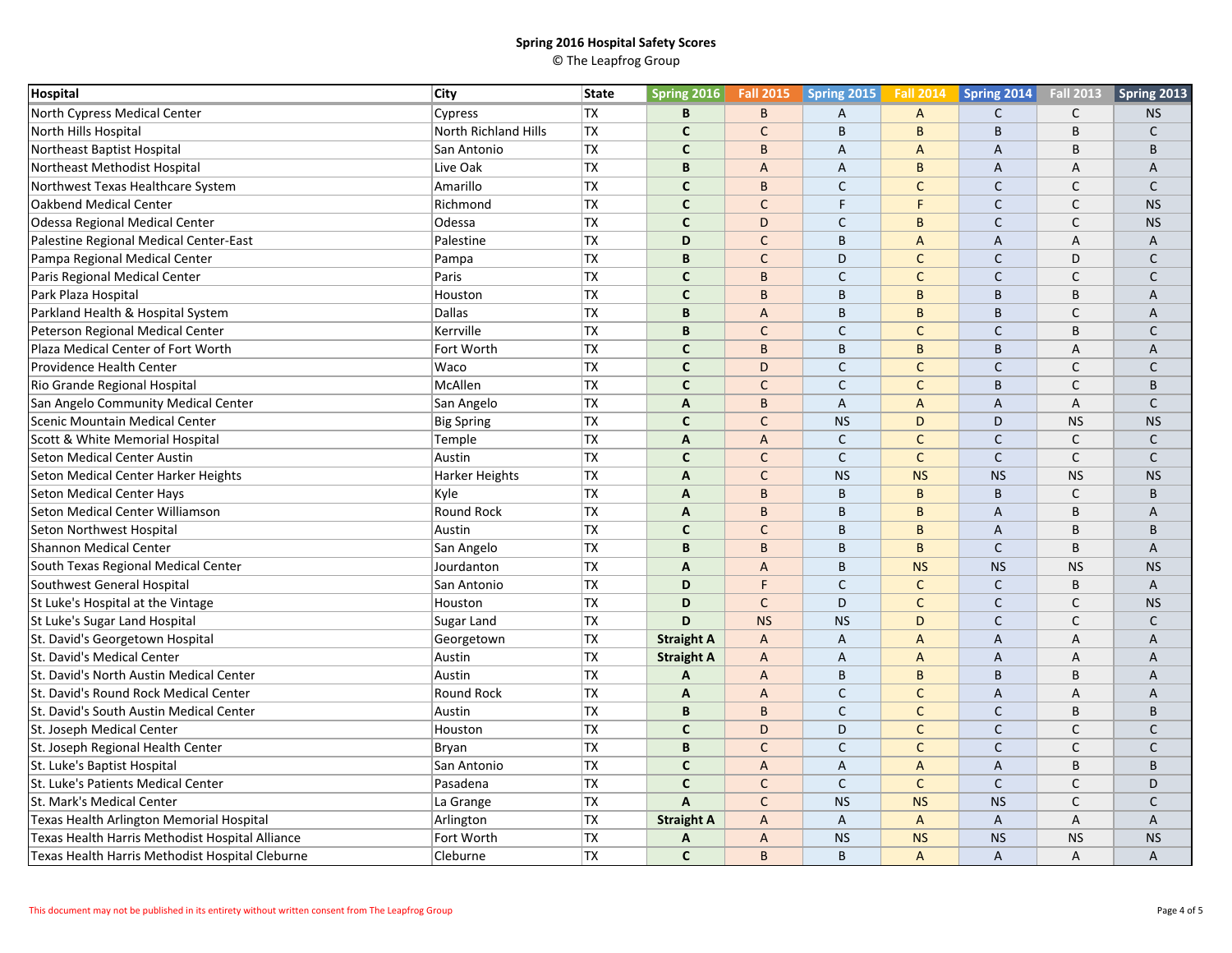| Hospital                                        | <b>City</b>                 | State     | <b>Spring 2016</b>        | <b>Fall 2015</b> | Spring 2015    | <b>Fall 2014</b> | Spring 2014    | <b>Fall 2013</b> | Spring 2013  |
|-------------------------------------------------|-----------------------------|-----------|---------------------------|------------------|----------------|------------------|----------------|------------------|--------------|
| North Cypress Medical Center                    | Cypress                     | <b>TX</b> | B                         | B                | $\overline{A}$ | A                | $\mathsf{C}$   | $\mathsf{C}$     | <b>NS</b>    |
| North Hills Hospital                            | <b>North Richland Hills</b> | <b>TX</b> | $\mathsf{C}$              | $\mathsf{C}$     | B              | $\overline{B}$   | B              | B                | $\mathsf{C}$ |
| Northeast Baptist Hospital                      | San Antonio                 | <b>TX</b> | $\mathbf{C}$              | B                | A              | A                | A              | B                | <sub>R</sub> |
| Northeast Methodist Hospital                    | Live Oak                    | <b>TX</b> | B                         | $\overline{A}$   | A              | B                | A              | A                | A            |
| Northwest Texas Healthcare System               | Amarillo                    | <b>TX</b> | $\mathbf{C}$              | B                | $\mathsf{C}$   | $\mathsf{C}$     | $\mathsf{C}$   | $\mathsf{C}$     | $\mathsf{C}$ |
| Oakbend Medical Center                          | Richmond                    | <b>TX</b> | $\mathsf{C}$              | $\mathsf{C}$     | F              | F                | $\mathsf{C}$   | C                | <b>NS</b>    |
| Odessa Regional Medical Center                  | Odessa                      | <b>TX</b> | $\mathbf{C}$              | D                | $\mathsf{C}$   | B                | $\mathsf{C}$   | $\mathsf{C}$     | <b>NS</b>    |
| Palestine Regional Medical Center-East          | Palestine                   | <b>TX</b> | D                         | $\mathsf{C}$     | B              | $\overline{A}$   | A              | $\overline{A}$   | A            |
| Pampa Regional Medical Center                   | Pampa                       | <b>TX</b> | B                         | $\mathsf{C}$     | D              | $\mathsf{C}$     | $\mathsf{C}$   | D                | $\mathsf{C}$ |
| Paris Regional Medical Center                   | Paris                       | <b>TX</b> | $\mathbf{C}$              | B                | $\mathsf{C}$   | $\mathsf{C}$     | $\mathsf{C}$   | C                | C            |
| Park Plaza Hospital                             | Houston                     | <b>TX</b> | $\mathbf{C}$              | B                | B              | B                | B              | B                | A            |
| Parkland Health & Hospital System               | <b>Dallas</b>               | <b>TX</b> | B                         | $\overline{A}$   | B              | B                | B              | $\mathsf{C}$     | A            |
| Peterson Regional Medical Center                | Kerrville                   | <b>TX</b> | B                         | $\mathsf{C}$     | $\mathsf{C}$   | $\mathsf{C}$     | $\mathsf{C}$   | B                | C            |
| Plaza Medical Center of Fort Worth              | Fort Worth                  | <b>TX</b> | $\mathsf{C}$              | B                | B              | B                | B              | A                | A            |
| Providence Health Center                        | Waco                        | <b>TX</b> | $\mathsf{C}$              | D                | $\mathsf{C}$   | $\mathsf{C}$     | $\mathsf{C}$   | $\mathsf{C}$     | $\mathsf{C}$ |
| Rio Grande Regional Hospital                    | McAllen                     | <b>TX</b> | $\mathbf{C}$              | $\mathsf{C}$     | $\mathsf{C}$   | $\mathsf{C}$     | B              | $\mathsf{C}$     | B            |
| San Angelo Community Medical Center             | San Angelo                  | <b>TX</b> | $\mathsf{A}$              | B                | A              | A                | A              | A                | $\mathsf{C}$ |
| Scenic Mountain Medical Center                  | <b>Big Spring</b>           | <b>TX</b> | $\mathbf{C}$              | $\mathsf{C}$     | <b>NS</b>      | D                | D              | <b>NS</b>        | <b>NS</b>    |
| Scott & White Memorial Hospital                 | Temple                      | <b>TX</b> | $\overline{A}$            | $\overline{A}$   | $\mathsf C$    | $\mathsf C$      | $\mathsf C$    | $\mathsf{C}$     | $\mathsf{C}$ |
| <b>Seton Medical Center Austin</b>              | Austin                      | <b>TX</b> | $\mathbf{C}$              | $\mathsf{C}$     | $\mathsf{C}$   | $\mathsf{C}$     | $\mathsf{C}$   | $\mathsf{C}$     | $\mathsf{C}$ |
| Seton Medical Center Harker Heights             | Harker Heights              | TX        | $\mathsf{A}$              | $\mathsf{C}$     | <b>NS</b>      | <b>NS</b>        | <b>NS</b>      | <b>NS</b>        | <b>NS</b>    |
| <b>Seton Medical Center Hays</b>                | Kyle                        | TX        | A                         | B                | $\mathsf B$    | B                | B              | C                | B            |
| Seton Medical Center Williamson                 | Round Rock                  | <b>TX</b> | $\overline{A}$            | B                | B              | B                | $\overline{A}$ | B                | A            |
| Seton Northwest Hospital                        | Austin                      | <b>TX</b> | $\mathbf{C}$              | $\mathsf{C}$     | B              | B                | $\overline{A}$ | B                | B            |
| <b>Shannon Medical Center</b>                   | San Angelo                  | TX        | B                         | B                | $\mathsf B$    | B                | $\mathsf{C}$   | B                | A            |
| South Texas Regional Medical Center             | Jourdanton                  | <b>TX</b> | A                         | $\overline{A}$   | B              | <b>NS</b>        | <b>NS</b>      | <b>NS</b>        | <b>NS</b>    |
| Southwest General Hospital                      | San Antonio                 | <b>TX</b> | D                         | F                | $\mathsf{C}$   | $\mathsf C$      | $\mathsf{C}$   | B                | A            |
| St Luke's Hospital at the Vintage               | Houston                     | <b>TX</b> | D                         | $\mathsf{C}$     | D              | $\mathsf{C}$     | $\mathsf{C}$   | C                | <b>NS</b>    |
| St Luke's Sugar Land Hospital                   | Sugar Land                  | <b>TX</b> | D                         | <b>NS</b>        | <b>NS</b>      | D                | $\mathsf{C}$   | $\mathsf{C}$     | C            |
| St. David's Georgetown Hospital                 | Georgetown                  | TX        | <b>Straight A</b>         | $\overline{A}$   | A              | $\overline{A}$   | A              | $\overline{A}$   | Α            |
| St. David's Medical Center                      | Austin                      | <b>TX</b> | <b>Straight A</b>         | $\overline{A}$   | A              | $\overline{A}$   | A              | A                | A            |
| St. David's North Austin Medical Center         | Austin                      | <b>TX</b> | A                         | $\overline{A}$   | $\sf B$        | B                | B              | B                | A            |
| St. David's Round Rock Medical Center           | Round Rock                  | <b>TX</b> | $\boldsymbol{\mathsf{A}}$ | $\overline{A}$   | $\mathsf{C}$   | $\mathsf{C}$     | $\overline{A}$ | A                | A            |
| St. David's South Austin Medical Center         | Austin                      | <b>TX</b> | B                         | B                | $\mathsf C$    | $\mathsf{C}$     | $\mathsf{C}$   | B                | B            |
| St. Joseph Medical Center                       | Houston                     | <b>TX</b> | $\mathbf{C}$              | D                | D              | $\mathsf{C}$     | $\mathsf{C}$   | $\mathsf{C}$     | $\mathsf{C}$ |
| St. Joseph Regional Health Center               | Bryan                       | <b>TX</b> | B                         | $\mathsf{C}$     | $\mathsf{C}$   | $\mathsf{C}$     | $\mathsf{C}$   | $\mathsf{C}$     | $\mathsf{C}$ |
| St. Luke's Baptist Hospital                     | San Antonio                 | <b>TX</b> | $\mathsf{C}$              | $\overline{A}$   | A              | $\overline{A}$   | $\overline{A}$ | B                | B            |
| St. Luke's Patients Medical Center              | Pasadena                    | <b>TX</b> | $\mathbf{C}$              | $\mathsf{C}$     | $\mathsf{C}$   | $\mathsf{C}$     | $\mathsf{C}$   | $\mathsf{C}$     | D            |
| St. Mark's Medical Center                       | La Grange                   | <b>TX</b> | $\mathsf{A}$              | $\mathsf{C}$     | <b>NS</b>      | <b>NS</b>        | <b>NS</b>      | $\mathsf{C}$     | $\mathsf{C}$ |
| Texas Health Arlington Memorial Hospital        | Arlington                   | <b>TX</b> | <b>Straight A</b>         | $\overline{A}$   | A              | A                | A              | А                | A            |
| Texas Health Harris Methodist Hospital Alliance | Fort Worth                  | <b>TX</b> | A                         | $\overline{A}$   | <b>NS</b>      | <b>NS</b>        | <b>NS</b>      | <b>NS</b>        | <b>NS</b>    |
| Texas Health Harris Methodist Hospital Cleburne | Cleburne                    | <b>TX</b> | $\mathsf{C}$              | $\overline{B}$   | B              | $\overline{A}$   | Α              | Α                | A            |